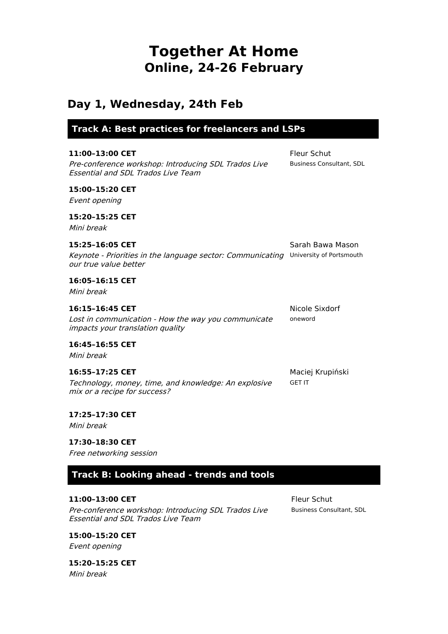# **Together At Home Online, 24-26 February**

# **Day 1, Wednesday, 24th Feb**

**Track A: Best practices for freelancers and LSPs**

| 11:00-13:00 CET<br>Pre-conference workshop: Introducing SDL Trados Live<br><b>Essential and SDL Trados Live Team</b> | <b>Fleur Schut</b><br><b>Business Consultant, SDL</b> |
|----------------------------------------------------------------------------------------------------------------------|-------------------------------------------------------|
| 15:00-15:20 CET<br>Event opening                                                                                     |                                                       |
| 15:20-15:25 CET<br>Mini break                                                                                        |                                                       |
| 15:25-16:05 CET<br>Keynote - Priorities in the language sector: Communicating<br>our true value better               | Sarah Bawa Mason<br>University of Portsmouth          |
| 16:05-16:15 CET<br>Mini break                                                                                        |                                                       |
| 16:15-16:45 CET<br>Lost in communication - How the way you communicate<br><i>impacts your translation quality</i>    | Nicole Sixdorf<br>oneword                             |
| 16:45-16:55 CET<br>Mini break                                                                                        |                                                       |
| 16:55-17:25 CET<br>Technology, money, time, and knowledge: An explosive<br>mix or a recipe for success?              | Maciej Krupiński<br><b>GET IT</b>                     |

## **17:25–17:30 CET**

Mini break

### **17:30–18:30 CET**

Free networking session

# **Track B: Looking ahead - trends and tools**

#### **11:00–13:00 CET**

Pre-conference workshop: Introducing SDL Trados Live Essential and SDL Trados Live Team

Fleur Schut Business Consultant, SDL

**15:00–15:20 CET** Event opening

**15:20–15:25 CET** Mini break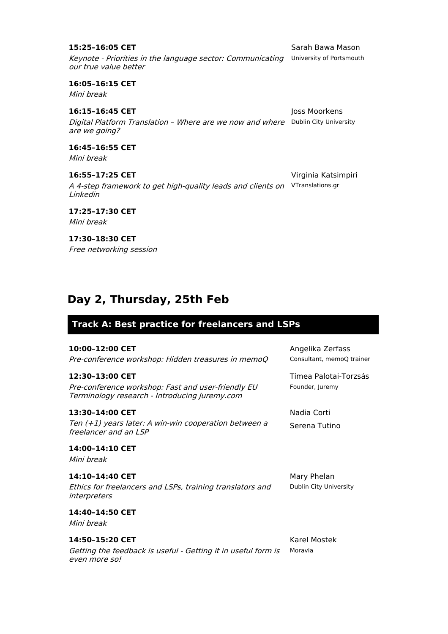# **16:05–16:15 CET** Mini break **16:15–16:45 CET**

Digital Platform Translation – Where are we now and where Dublin City University are we going?

**16:45–16:55 CET** Mini break

**16:55–17:25 CET** A 4-step framework to get high-quality leads and clients on VTranslations.gr Linkedin

**17:25–17:30 CET** Mini break

**17:30–18:30 CET** Free networking session

# **Day 2, Thursday, 25th Feb**

# **Track A: Best practice for freelancers and LSPs**

# **10:00–12:00 CET**

Pre-conference workshop: Hidden treasures in memoQ

## **12:30–13:00 CET**

Pre-conference workshop: Fast and user-friendly EU Terminology research - Introducing Juremy.com

## **13:30–14:00 CET**

Ten (+1) years later: A win-win cooperation between <sup>a</sup> freelancer and an LSP

**14:00–14:10 CET**

Mini break

# **14:10–14:40 CET**

Ethics for freelancers and LSPs, training translators and interpreters

# **14:40–14:50 CET**

Mini break

# **14:50–15:20 CET**

Getting the feedback is useful - Getting it in useful form is even more so!

Keynote - Priorities in the language sector: Communicating University of Portsmouth

Joss Moorkens

Virginia Katsimpiri

Angelika Zerfass Consultant, memoQ trainer

Founder, Juremy

Nadia Corti Serena Tutino

Tímea Palotai-Torzsás

Mary Phelan Dublin City University

Karel Mostek Moravia

# **15:25–16:05 CET**

our true value better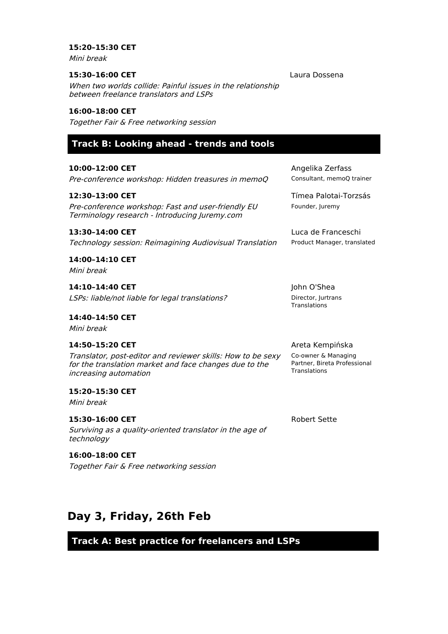#### **15:20–15:30 CET**

Mini break

#### **15:30–16:00 CET**

Laura Dossena

When two worlds collide: Painful issues in the relationship between freelance translators and LSPs

#### **16:00–18:00 CET**

Together Fair & Free networking session

# **Track B: Looking ahead - trends and tools**

**10:00–12:00 CET**

Pre-conference workshop: Hidden treasures in memoQ

#### **12:30–13:00 CET**

Pre-conference workshop: Fast and user-friendly EU Terminology research - Introducing Juremy.com

#### **13:30–14:00 CET**

Technology session: Reimagining Audiovisual Translation

**14:00–14:10 CET** Mini break

**14:10–14:40 CET** LSPs: liable/not liable for legal translations?

**14:40–14:50 CET** Mini break

#### **14:50–15:20 CET**

Translator, post-editor and reviewer skills: How to be sexy for the translation market and face changes due to the increasing automation

**15:20–15:30 CET** Mini break

Surviving as <sup>a</sup> quality-oriented translator in the age of technology

## **16:00–18:00 CET**

**15:30–16:00 CET**

Together Fair & Free networking session

Angelika Zerfass Consultant, memoQ trainer

Tímea Palotai-Torzsás Founder, Juremy

Luca de Franceschi Product Manager, translated

John O'Shea Director, Jurtrans **Translations** 

#### Areta Kempińska

Co-owner & Managing Partner, Bireta Professional **Translations** 

Robert Sette

# **Day 3, Friday, 26th Feb**

**Track A: Best practice for freelancers and LSPs**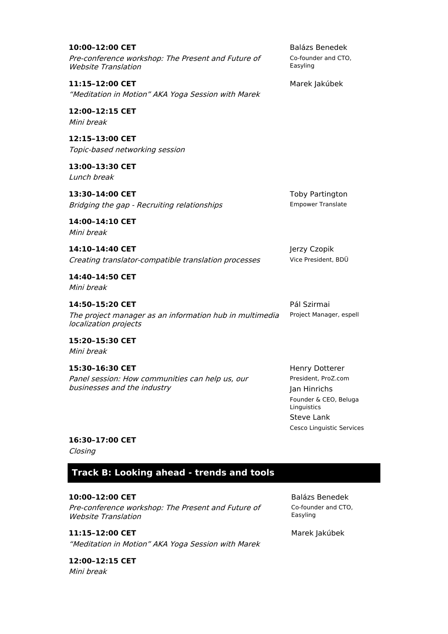**10:00–12:00 CET** Pre-conference workshop: The Present and Future of Website Translation

**11:15–12:00 CET** "Meditation in Motion" AKA Yoga Session with Marek

**12:00–12:15 CET** Mini break

**12:15–13:00 CET** Topic-based networking session

**13:00–13:30 CET** Lunch break

**13:30–14:00 CET** Bridging the gap - Recruiting relationships

**14:00–14:10 CET** Mini break

**14:10–14:40 CET** Creating translator-compatible translation processes

**14:40–14:50 CET** Mini break

**14:50–15:20 CET** The project manager as an information hub in multimedia localization projects

**15:20–15:30 CET** Mini break

**15:30–16:30 CET** Panel session: How communities can help us, our businesses and the industry

Balázs Benedek Co-founder and CTO, Easyling

Marek Jakúbek

Toby Partington Empower Translate

Jerzy Czopik Vice President, BDÜ

Pál Szirmai Project Manager, espell

Henry Dotterer President, ProZ.com Jan Hinrichs Founder & CEO, Beluga Linguistics Steve Lank Cesco Linguistic Services

#### **16:30–17:00 CET**

Closing

**Track B: Looking ahead - trends and tools**

**10:00–12:00 CET** Pre-conference workshop: The Present and Future of Website Translation

**11:15–12:00 CET** "Meditation in Motion" AKA Yoga Session with Marek

**12:00–12:15 CET** Mini break

Balázs Benedek Co-founder and CTO, Easyling

Marek Jakúbek